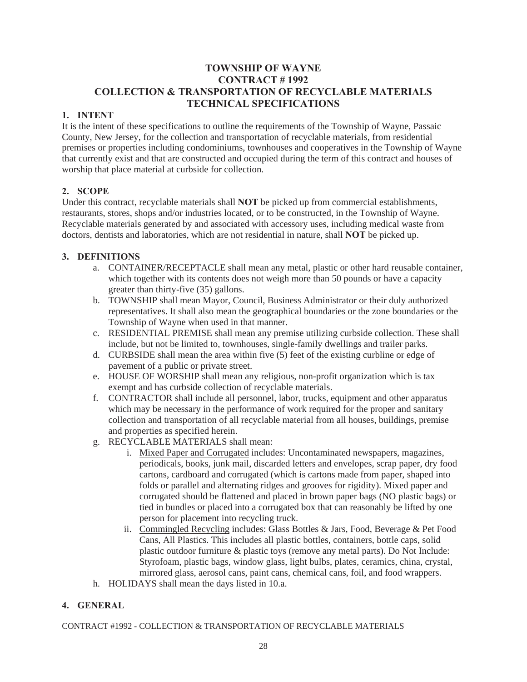## **TOWNSHIP OF WAYNE CONTRACT # 1992 COLLECTION & TRANSPORTATION OF RECYCLABLE MATERIALS TECHNICAL SPECIFICATIONS**

## **1. INTENT**

It is the intent of these specifications to outline the requirements of the Township of Wayne, Passaic County, New Jersey, for the collection and transportation of recyclable materials, from residential premises or properties including condominiums, townhouses and cooperatives in the Township of Wayne that currently exist and that are constructed and occupied during the term of this contract and houses of worship that place material at curbside for collection.

## **2. SCOPE**

Under this contract, recyclable materials shall **NOT** be picked up from commercial establishments, restaurants, stores, shops and/or industries located, or to be constructed, in the Township of Wayne. Recyclable materials generated by and associated with accessory uses, including medical waste from doctors, dentists and laboratories, which are not residential in nature, shall **NOT** be picked up.

## **3. DEFINITIONS**

- a. CONTAINER/RECEPTACLE shall mean any metal, plastic or other hard reusable container, which together with its contents does not weigh more than 50 pounds or have a capacity greater than thirty-five (35) gallons.
- b. TOWNSHIP shall mean Mayor, Council, Business Administrator or their duly authorized representatives. It shall also mean the geographical boundaries or the zone boundaries or the Township of Wayne when used in that manner.
- c. RESIDENTIAL PREMISE shall mean any premise utilizing curbside collection. These shall include, but not be limited to, townhouses, single-family dwellings and trailer parks.
- d. CURBSIDE shall mean the area within five (5) feet of the existing curbline or edge of pavement of a public or private street.
- e. HOUSE OF WORSHIP shall mean any religious, non-profit organization which is tax exempt and has curbside collection of recyclable materials.
- f. CONTRACTOR shall include all personnel, labor, trucks, equipment and other apparatus which may be necessary in the performance of work required for the proper and sanitary collection and transportation of all recyclable material from all houses, buildings, premise and properties as specified herein.
- g. RECYCLABLE MATERIALS shall mean:
	- i. Mixed Paper and Corrugated includes: Uncontaminated newspapers, magazines, periodicals, books, junk mail, discarded letters and envelopes, scrap paper, dry food cartons, cardboard and corrugated (which is cartons made from paper, shaped into folds or parallel and alternating ridges and grooves for rigidity). Mixed paper and corrugated should be flattened and placed in brown paper bags (NO plastic bags) or tied in bundles or placed into a corrugated box that can reasonably be lifted by one person for placement into recycling truck.
	- ii. Commingled Recycling includes: Glass Bottles & Jars, Food, Beverage & Pet Food Cans, All Plastics. This includes all plastic bottles, containers, bottle caps, solid plastic outdoor furniture & plastic toys (remove any metal parts). Do Not Include: Styrofoam, plastic bags, window glass, light bulbs, plates, ceramics, china, crystal, mirrored glass, aerosol cans, paint cans, chemical cans, foil, and food wrappers.
- h. HOLIDAYS shall mean the days listed in 10.a.

## **4. GENERAL**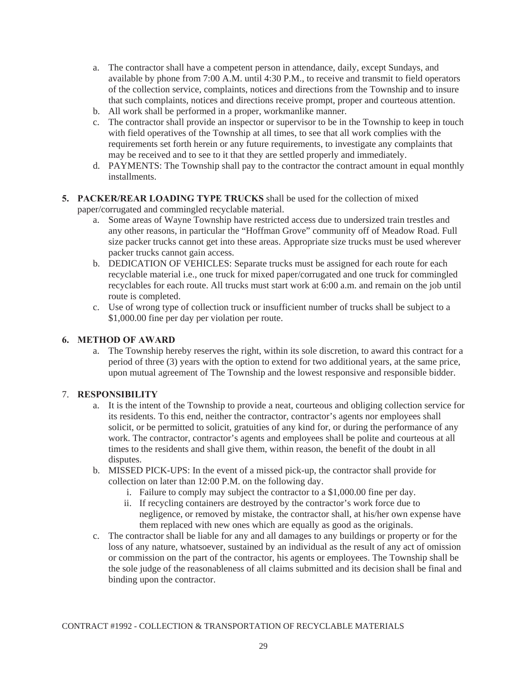- a. The contractor shall have a competent person in attendance, daily, except Sundays, and available by phone from 7:00 A.M. until 4:30 P.M., to receive and transmit to field operators of the collection service, complaints, notices and directions from the Township and to insure that such complaints, notices and directions receive prompt, proper and courteous attention.
- b. All work shall be performed in a proper, workmanlike manner.
- c. The contractor shall provide an inspector or supervisor to be in the Township to keep in touch with field operatives of the Township at all times, to see that all work complies with the requirements set forth herein or any future requirements, to investigate any complaints that may be received and to see to it that they are settled properly and immediately.
- d. PAYMENTS: The Township shall pay to the contractor the contract amount in equal monthly installments.
- **5. PACKER/REAR LOADING TYPE TRUCKS** shall be used for the collection of mixed paper/corrugated and commingled recyclable material.
	- a. Some areas of Wayne Township have restricted access due to undersized train trestles and any other reasons, in particular the "Hoffman Grove" community off of Meadow Road. Full size packer trucks cannot get into these areas. Appropriate size trucks must be used wherever packer trucks cannot gain access.
	- b. DEDICATION OF VEHICLES: Separate trucks must be assigned for each route for each recyclable material i.e., one truck for mixed paper/corrugated and one truck for commingled recyclables for each route. All trucks must start work at 6:00 a.m. and remain on the job until route is completed.
	- c. Use of wrong type of collection truck or insufficient number of trucks shall be subject to a \$1,000.00 fine per day per violation per route.

#### **6. METHOD OF AWARD**

a. The Township hereby reserves the right, within its sole discretion, to award this contract for a period of three (3) years with the option to extend for two additional years, at the same price, upon mutual agreement of The Township and the lowest responsive and responsible bidder.

#### 7. **RESPONSIBILITY**

- a. It is the intent of the Township to provide a neat, courteous and obliging collection service for its residents. To this end, neither the contractor, contractor's agents nor employees shall solicit, or be permitted to solicit, gratuities of any kind for, or during the performance of any work. The contractor, contractor's agents and employees shall be polite and courteous at all times to the residents and shall give them, within reason, the benefit of the doubt in all disputes.
- b. MISSED PICK-UPS: In the event of a missed pick-up, the contractor shall provide for collection on later than 12:00 P.M. on the following day.
	- i. Failure to comply may subject the contractor to a \$1,000.00 fine per day.
	- ii. If recycling containers are destroyed by the contractor's work force due to negligence, or removed by mistake, the contractor shall, at his/her own expense have them replaced with new ones which are equally as good as the originals.
- c. The contractor shall be liable for any and all damages to any buildings or property or for the loss of any nature, whatsoever, sustained by an individual as the result of any act of omission or commission on the part of the contractor, his agents or employees. The Township shall be the sole judge of the reasonableness of all claims submitted and its decision shall be final and binding upon the contractor.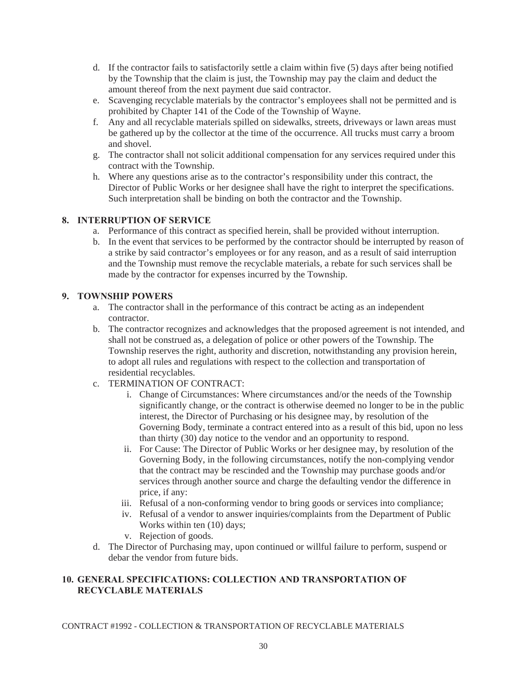- d. If the contractor fails to satisfactorily settle a claim within five (5) days after being notified by the Township that the claim is just, the Township may pay the claim and deduct the amount thereof from the next payment due said contractor.
- e. Scavenging recyclable materials by the contractor's employees shall not be permitted and is prohibited by Chapter 141 of the Code of the Township of Wayne.
- f. Any and all recyclable materials spilled on sidewalks, streets, driveways or lawn areas must be gathered up by the collector at the time of the occurrence. All trucks must carry a broom and shovel.
- g. The contractor shall not solicit additional compensation for any services required under this contract with the Township.
- h. Where any questions arise as to the contractor's responsibility under this contract, the Director of Public Works or her designee shall have the right to interpret the specifications. Such interpretation shall be binding on both the contractor and the Township.

## **8. INTERRUPTION OF SERVICE**

- a. Performance of this contract as specified herein, shall be provided without interruption.
- b. In the event that services to be performed by the contractor should be interrupted by reason of a strike by said contractor's employees or for any reason, and as a result of said interruption and the Township must remove the recyclable materials, a rebate for such services shall be made by the contractor for expenses incurred by the Township.

## **9. TOWNSHIP POWERS**

- a. The contractor shall in the performance of this contract be acting as an independent contractor.
- b. The contractor recognizes and acknowledges that the proposed agreement is not intended, and shall not be construed as, a delegation of police or other powers of the Township. The Township reserves the right, authority and discretion, notwithstanding any provision herein, to adopt all rules and regulations with respect to the collection and transportation of residential recyclables.
- c. TERMINATION OF CONTRACT:
	- i. Change of Circumstances: Where circumstances and/or the needs of the Township significantly change, or the contract is otherwise deemed no longer to be in the public interest, the Director of Purchasing or his designee may, by resolution of the Governing Body, terminate a contract entered into as a result of this bid, upon no less than thirty (30) day notice to the vendor and an opportunity to respond.
	- ii. For Cause: The Director of Public Works or her designee may, by resolution of the Governing Body, in the following circumstances, notify the non-complying vendor that the contract may be rescinded and the Township may purchase goods and/or services through another source and charge the defaulting vendor the difference in price, if any:
	- iii. Refusal of a non-conforming vendor to bring goods or services into compliance;
	- iv. Refusal of a vendor to answer inquiries/complaints from the Department of Public Works within ten (10) days;
	- v. Rejection of goods.
- d. The Director of Purchasing may, upon continued or willful failure to perform, suspend or debar the vendor from future bids.

## **10. GENERAL SPECIFICATIONS: COLLECTION AND TRANSPORTATION OF RECYCLABLE MATERIALS**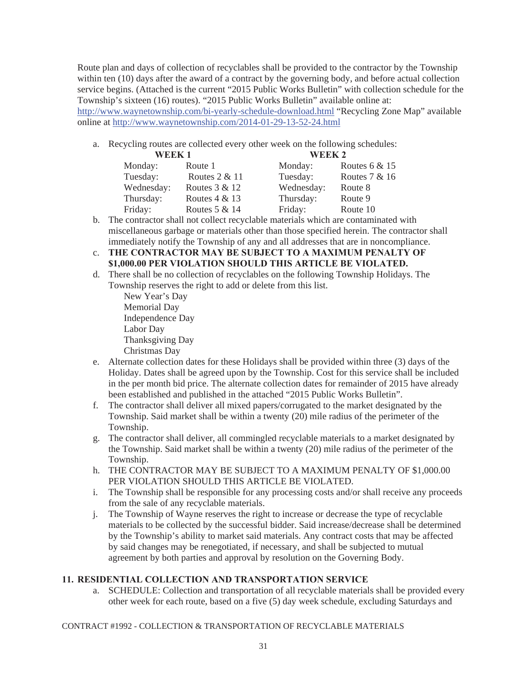Route plan and days of collection of recyclables shall be provided to the contractor by the Township within ten (10) days after the award of a contract by the governing body, and before actual collection service begins. (Attached is the current "2015 Public Works Bulletin" with collection schedule for the Township's sixteen (16) routes). "2015 Public Works Bulletin" available online at: http://www.waynetownship.com/bi-yearly-schedule-download.html "Recycling Zone Map" available online at http://www.waynetownship.com/2014-01-29-13-52-24.html

a. Recycling routes are collected every other week on the following schedules:

| <b>WEEK1</b> |                 | <b>WEEK2</b> |                 |
|--------------|-----------------|--------------|-----------------|
| Monday:      | Route 1         | Monday:      | Routes $6 & 15$ |
| Tuesday:     | Routes $2 & 11$ | Tuesday:     | Routes $7 & 16$ |
| Wednesday:   | Routes $3 & 12$ | Wednesday:   | Route 8         |
| Thursday:    | Routes $4 & 13$ | Thursday:    | Route 9         |
| Friday:      | Routes $5 & 14$ | Friday:      | Route 10        |

- b. The contractor shall not collect recyclable materials which are contaminated with miscellaneous garbage or materials other than those specified herein. The contractor shall immediately notify the Township of any and all addresses that are in noncompliance.
- c. **THE CONTRACTOR MAY BE SUBJECT TO A MAXIMUM PENALTY OF \$1,000.00 PER VIOLATION SHOULD THIS ARTICLE BE VIOLATED.**
- d. There shall be no collection of recyclables on the following Township Holidays. The Township reserves the right to add or delete from this list.

```
New Year's Day 
Memorial Day 
Independence Day 
Labor Day 
Thanksgiving Day 
Christmas Day
```
- e. Alternate collection dates for these Holidays shall be provided within three (3) days of the Holiday. Dates shall be agreed upon by the Township. Cost for this service shall be included in the per month bid price. The alternate collection dates for remainder of 2015 have already been established and published in the attached "2015 Public Works Bulletin".
- f. The contractor shall deliver all mixed papers/corrugated to the market designated by the Township. Said market shall be within a twenty (20) mile radius of the perimeter of the Township.
- g. The contractor shall deliver, all commingled recyclable materials to a market designated by the Township. Said market shall be within a twenty (20) mile radius of the perimeter of the Township.
- h. THE CONTRACTOR MAY BE SUBJECT TO A MAXIMUM PENALTY OF \$1,000.00 PER VIOLATION SHOULD THIS ARTICLE BE VIOLATED.
- i. The Township shall be responsible for any processing costs and/or shall receive any proceeds from the sale of any recyclable materials.
- j. The Township of Wayne reserves the right to increase or decrease the type of recyclable materials to be collected by the successful bidder. Said increase/decrease shall be determined by the Township's ability to market said materials. Any contract costs that may be affected by said changes may be renegotiated, if necessary, and shall be subjected to mutual agreement by both parties and approval by resolution on the Governing Body.

# **11. RESIDENTIAL COLLECTION AND TRANSPORTATION SERVICE**

a. SCHEDULE: Collection and transportation of all recyclable materials shall be provided every other week for each route, based on a five (5) day week schedule, excluding Saturdays and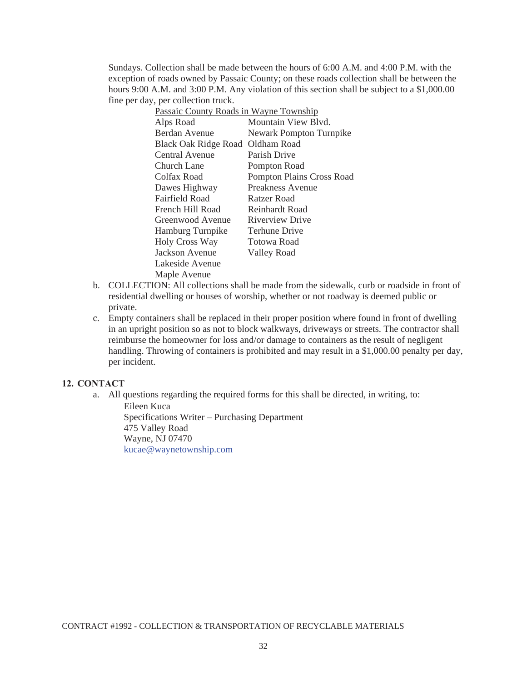Sundays. Collection shall be made between the hours of 6:00 A.M. and 4:00 P.M. with the exception of roads owned by Passaic County; on these roads collection shall be between the hours 9:00 A.M. and 3:00 P.M. Any violation of this section shall be subject to a \$1,000.00 fine per day, per collection truck.

| Passaic County Roads in Wayne Township |                                |  |  |  |
|----------------------------------------|--------------------------------|--|--|--|
| Alps Road                              | Mountain View Blvd.            |  |  |  |
| Berdan Avenue                          | <b>Newark Pompton Turnpike</b> |  |  |  |
| Black Oak Ridge Road                   | Oldham Road                    |  |  |  |
| Central Avenue                         | Parish Drive                   |  |  |  |
| Church Lane                            | Pompton Road                   |  |  |  |
| Colfax Road                            | Pompton Plains Cross Road      |  |  |  |
| Dawes Highway                          | Preakness Avenue               |  |  |  |
| Fairfield Road                         | Ratzer Road                    |  |  |  |
| French Hill Road                       | Reinhardt Road                 |  |  |  |
| Greenwood Avenue                       | Riverview Drive                |  |  |  |
| Hamburg Turnpike                       | <b>Terhune Drive</b>           |  |  |  |
| <b>Holy Cross Way</b>                  | <b>Totowa Road</b>             |  |  |  |
| Jackson Avenue                         | <b>Valley Road</b>             |  |  |  |
| Lakeside Avenue                        |                                |  |  |  |
| Maple Avenue                           |                                |  |  |  |

- b. COLLECTION: All collections shall be made from the sidewalk, curb or roadside in front of residential dwelling or houses of worship, whether or not roadway is deemed public or private.
- c. Empty containers shall be replaced in their proper position where found in front of dwelling in an upright position so as not to block walkways, driveways or streets. The contractor shall reimburse the homeowner for loss and/or damage to containers as the result of negligent handling. Throwing of containers is prohibited and may result in a \$1,000.00 penalty per day, per incident.

#### **12. CONTACT**

a. All questions regarding the required forms for this shall be directed, in writing, to:

 Eileen Kuca Specifications Writer – Purchasing Department 475 Valley Road Wayne, NJ 07470 kucae@waynetownship.com